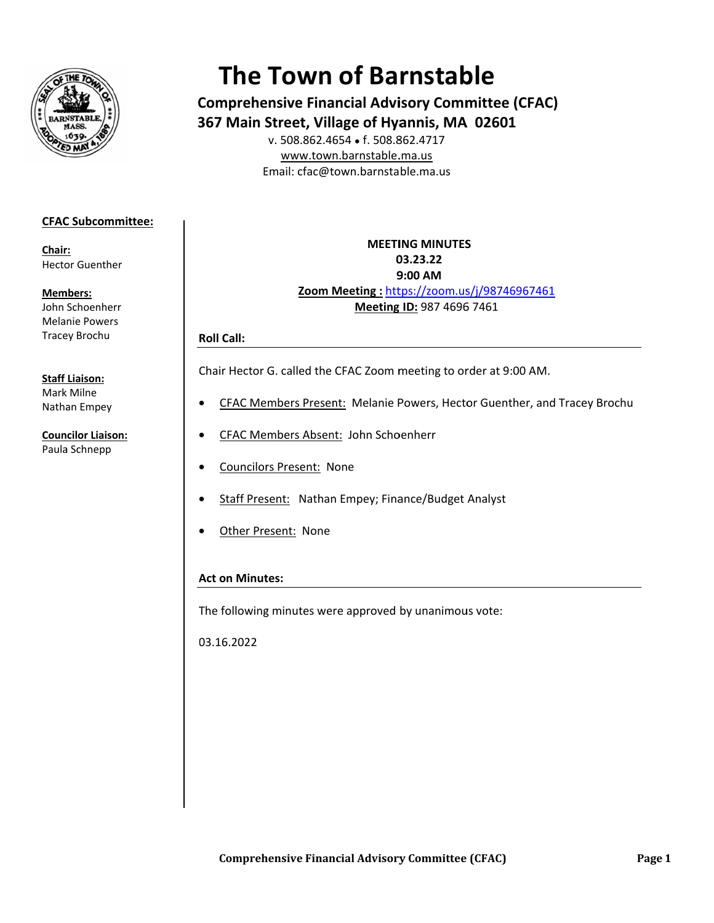

# **The Town of Barnstable**

**Comprehensive Financial Advisory Committee (CFAC)** 367 Main Street, Village of Hyannis, MA 02601 v. 508.862.4654 • f. 508.862.4717

www.town.barnstable.ma.us Email: cfac@town.barnstable.ma.us

### **CFAC Subcommittee:**

Chair: **Hector Guenther** 

**Members:** John Schoenherr **Melanie Powers Tracev Brochu** 

#### **Staff Liaison:**

Mark Milne Nathan Empey

**Councilor Liaison:** Paula Schnepp

# **MEETING MINUTES** 03.23.22 9:00 AM Zoom Meeting: https://zoom.us/j/98746967461 Meeting ID: 987 4696 7461

#### **Roll Call:**

Chair Hector G. called the CFAC Zoom meeting to order at 9:00 AM.

- CFAC Members Present: Melanie Powers, Hector Guenther, and Tracey Brochu
- CFAC Members Absent: John Schoenherr
- **Councilors Present: None**
- Staff Present: Nathan Empey; Finance/Budget Analyst
- Other Present: None

## **Act on Minutes:**

The following minutes were approved by unanimous vote:

03.16.2022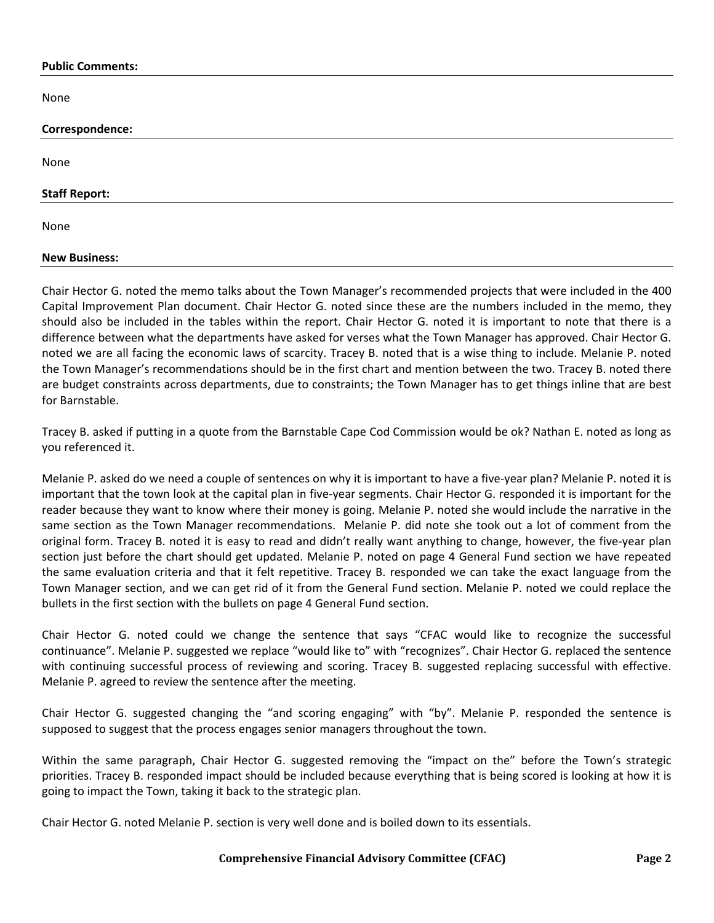#### **Public Comments:**

None

| Correspondence:      |  |  |
|----------------------|--|--|
|                      |  |  |
| None                 |  |  |
|                      |  |  |
| <b>Staff Report:</b> |  |  |
| None                 |  |  |
| <b>New Business:</b> |  |  |

Chair Hector G. noted the memo talks about the Town Manager's recommended projects that were included in the 400 Capital Improvement Plan document. Chair Hector G. noted since these are the numbers included in the memo, they should also be included in the tables within the report. Chair Hector G. noted it is important to note that there is a difference between what the departments have asked for verses what the Town Manager has approved. Chair Hector G. noted we are all facing the economic laws of scarcity. Tracey B. noted that is a wise thing to include. Melanie P. noted the Town Manager's recommendations should be in the first chart and mention between the two. Tracey B. noted there are budget constraints across departments, due to constraints; the Town Manager has to get things inline that are best for Barnstable.

Tracey B. asked if putting in a quote from the Barnstable Cape Cod Commission would be ok? Nathan E. noted as long as you referenced it.

Melanie P. asked do we need a couple of sentences on why it is important to have a five-year plan? Melanie P. noted it is important that the town look at the capital plan in five-year segments. Chair Hector G. responded it is important for the reader because they want to know where their money is going. Melanie P. noted she would include the narrative in the same section as the Town Manager recommendations. Melanie P. did note she took out a lot of comment from the original form. Tracey B. noted it is easy to read and didn't really want anything to change, however, the five-year plan section just before the chart should get updated. Melanie P. noted on page 4 General Fund section we have repeated the same evaluation criteria and that it felt repetitive. Tracey B. responded we can take the exact language from the Town Manager section, and we can get rid of it from the General Fund section. Melanie P. noted we could replace the bullets in the first section with the bullets on page 4 General Fund section.

Chair Hector G. noted could we change the sentence that says "CFAC would like to recognize the successful continuance". Melanie P. suggested we replace "would like to" with "recognizes". Chair Hector G. replaced the sentence with continuing successful process of reviewing and scoring. Tracey B. suggested replacing successful with effective. Melanie P. agreed to review the sentence after the meeting.

Chair Hector G. suggested changing the "and scoring engaging" with "by". Melanie P. responded the sentence is supposed to suggest that the process engages senior managers throughout the town.

Within the same paragraph, Chair Hector G. suggested removing the "impact on the" before the Town's strategic priorities. Tracey B. responded impact should be included because everything that is being scored is looking at how it is going to impact the Town, taking it back to the strategic plan.

Chair Hector G. noted Melanie P. section is very well done and is boiled down to its essentials.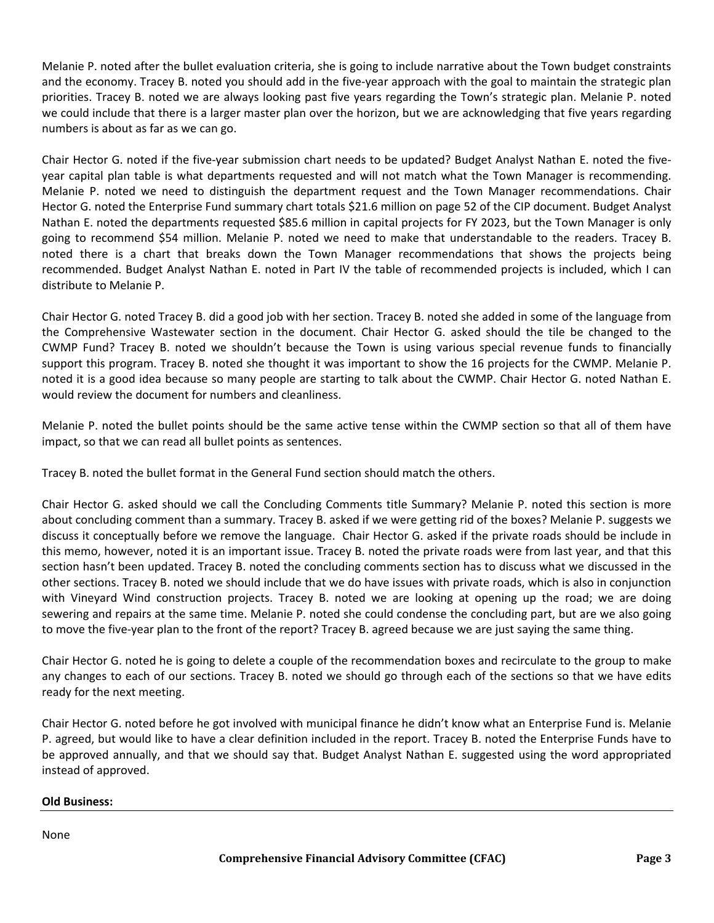Melanie P. noted after the bullet evaluation criteria, she is going to include narrative about the Town budget constraints and the economy. Tracey B. noted you should add in the five-year approach with the goal to maintain the strategic plan priorities. Tracey B. noted we are always looking past five years regarding the Town's strategic plan. Melanie P. noted we could include that there is a larger master plan over the horizon, but we are acknowledging that five years regarding numbers is about as far as we can go.

Chair Hector G. noted if the five-year submission chart needs to be updated? Budget Analyst Nathan E. noted the fiveyear capital plan table is what departments requested and will not match what the Town Manager is recommending. Melanie P. noted we need to distinguish the department request and the Town Manager recommendations. Chair Hector G. noted the Enterprise Fund summary chart totals \$21.6 million on page 52 of the CIP document. Budget Analyst Nathan E. noted the departments requested \$85.6 million in capital projects for FY 2023, but the Town Manager is only going to recommend \$54 million. Melanie P. noted we need to make that understandable to the readers. Tracey B. noted there is a chart that breaks down the Town Manager recommendations that shows the projects being recommended. Budget Analyst Nathan E. noted in Part IV the table of recommended projects is included, which I can distribute to Melanie P.

Chair Hector G. noted Tracey B. did a good job with her section. Tracey B. noted she added in some of the language from the Comprehensive Wastewater section in the document. Chair Hector G. asked should the tile be changed to the CWMP Fund? Tracey B. noted we shouldn't because the Town is using various special revenue funds to financially support this program. Tracey B. noted she thought it was important to show the 16 projects for the CWMP. Melanie P. noted it is a good idea because so many people are starting to talk about the CWMP. Chair Hector G. noted Nathan E. would review the document for numbers and cleanliness.

Melanie P. noted the bullet points should be the same active tense within the CWMP section so that all of them have impact, so that we can read all bullet points as sentences.

Tracey B. noted the bullet format in the General Fund section should match the others.

Chair Hector G. asked should we call the Concluding Comments title Summary? Melanie P. noted this section is more about concluding comment than a summary. Tracey B. asked if we were getting rid of the boxes? Melanie P. suggests we discuss it conceptually before we remove the language. Chair Hector G. asked if the private roads should be include in this memo, however, noted it is an important issue. Tracey B. noted the private roads were from last year, and that this section hasn't been updated. Tracey B. noted the concluding comments section has to discuss what we discussed in the other sections. Tracey B. noted we should include that we do have issues with private roads, which is also in conjunction with Vineyard Wind construction projects. Tracey B. noted we are looking at opening up the road; we are doing sewering and repairs at the same time. Melanie P. noted she could condense the concluding part, but are we also going to move the five-year plan to the front of the report? Tracey B. agreed because we are just saying the same thing.

Chair Hector G. noted he is going to delete a couple of the recommendation boxes and recirculate to the group to make any changes to each of our sections. Tracey B. noted we should go through each of the sections so that we have edits ready for the next meeting.

Chair Hector G. noted before he got involved with municipal finance he didn't know what an Enterprise Fund is. Melanie P. agreed, but would like to have a clear definition included in the report. Tracey B. noted the Enterprise Funds have to be approved annually, and that we should say that. Budget Analyst Nathan E. suggested using the word appropriated instead of approved.

#### **Old Business:**

None